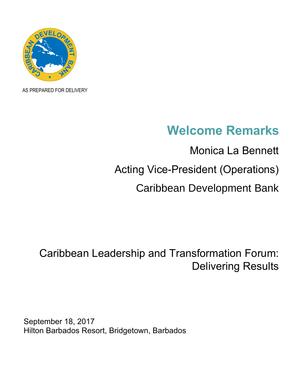

AS PREPARED FOR DELIVERY

## **Welcome Remarks**

Monica La Bennett Acting Vice-President (Operations) Caribbean Development Bank

## Caribbean Leadership and Transformation Forum: Delivering Results

September 18, 2017 Hilton Barbados Resort, Bridgetown, Barbados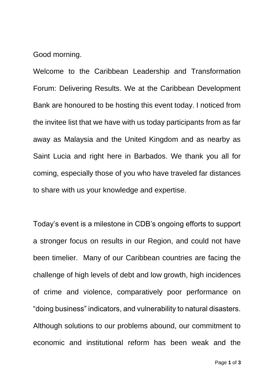Good morning.

Welcome to the Caribbean Leadership and Transformation Forum: Delivering Results. We at the Caribbean Development Bank are honoured to be hosting this event today. I noticed from the invitee list that we have with us today participants from as far away as Malaysia and the United Kingdom and as nearby as Saint Lucia and right here in Barbados. We thank you all for coming, especially those of you who have traveled far distances to share with us your knowledge and expertise.

Today's event is a milestone in CDB's ongoing efforts to support a stronger focus on results in our Region, and could not have been timelier. Many of our Caribbean countries are facing the challenge of high levels of debt and low growth, high incidences of crime and violence, comparatively poor performance on "doing business" indicators, and vulnerability to natural disasters. Although solutions to our problems abound, our commitment to economic and institutional reform has been weak and the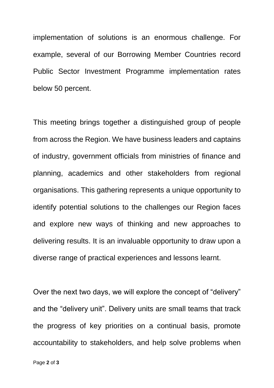implementation of solutions is an enormous challenge. For example, several of our Borrowing Member Countries record Public Sector Investment Programme implementation rates below 50 percent.

This meeting brings together a distinguished group of people from across the Region. We have business leaders and captains of industry, government officials from ministries of finance and planning, academics and other stakeholders from regional organisations. This gathering represents a unique opportunity to identify potential solutions to the challenges our Region faces and explore new ways of thinking and new approaches to delivering results. It is an invaluable opportunity to draw upon a diverse range of practical experiences and lessons learnt.

Over the next two days, we will explore the concept of "delivery" and the "delivery unit". Delivery units are small teams that track the progress of key priorities on a continual basis, promote accountability to stakeholders, and help solve problems when